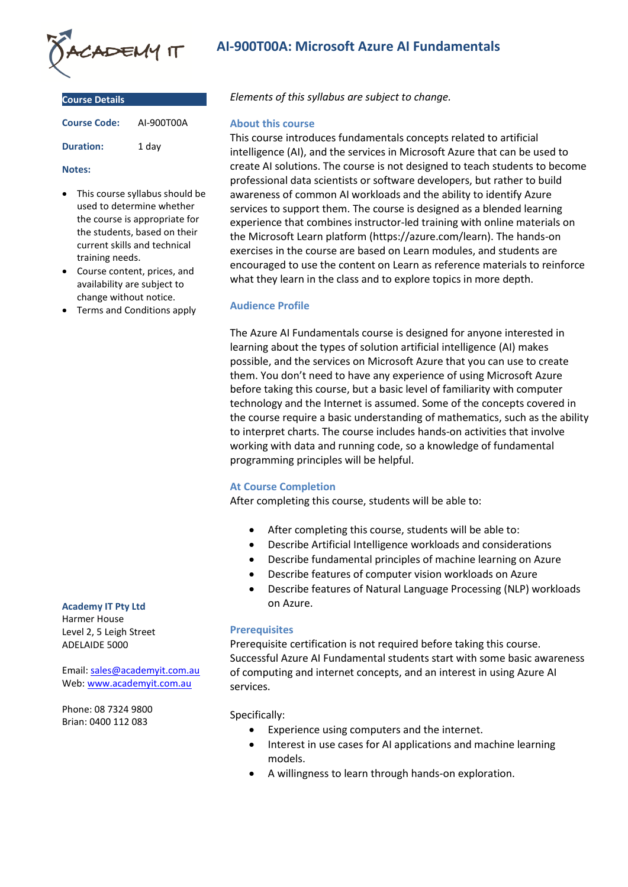

| <b>Course Details</b> |            |
|-----------------------|------------|
| <b>Course Code:</b>   | AI-900T00A |
| <b>Duration:</b>      | 1 dav      |

#### **Notes:**

- This course syllabus should be used to determine whether the course is appropriate for the students, based on their current skills and technical training needs.
- Course content, prices, and availability are subject to change without notice.
- Terms and Conditions apply

#### **Academy IT Pty Ltd**

Harmer House Level 2, 5 Leigh Street ADELAIDE 5000

Email: [sales@academyit.com.au](mailto:sales@academyit.com.au) Web: [www.academyit.com.au](http://www.academyit.com.au/)

Phone: 08 7324 9800 Brian: 0400 112 083

# **AI-900T00A: Microsoft Azure AI Fundamentals**

*Elements of this syllabus are subject to change.*

#### **About this course**

This course introduces fundamentals concepts related to artificial intelligence (AI), and the services in Microsoft Azure that can be used to create AI solutions. The course is not designed to teach students to become professional data scientists or software developers, but rather to build awareness of common AI workloads and the ability to identify Azure services to support them. The course is designed as a blended learning experience that combines instructor-led training with online materials on the Microsoft Learn platform (https://azure.com/learn). The hands-on exercises in the course are based on Learn modules, and students are encouraged to use the content on Learn as reference materials to reinforce what they learn in the class and to explore topics in more depth.

### **Audience Profile**

The Azure AI Fundamentals course is designed for anyone interested in learning about the types of solution artificial intelligence (AI) makes possible, and the services on Microsoft Azure that you can use to create them. You don't need to have any experience of using Microsoft Azure before taking this course, but a basic level of familiarity with computer technology and the Internet is assumed. Some of the concepts covered in the course require a basic understanding of mathematics, such as the ability to interpret charts. The course includes hands-on activities that involve working with data and running code, so a knowledge of fundamental programming principles will be helpful.

#### **At Course Completion**

After completing this course, students will be able to:

- After completing this course, students will be able to:
- Describe Artificial Intelligence workloads and considerations
- Describe fundamental principles of machine learning on Azure
- Describe features of computer vision workloads on Azure
- Describe features of Natural Language Processing (NLP) workloads on Azure.

### **Prerequisites**

Prerequisite certification is not required before taking this course. Successful Azure AI Fundamental students start with some basic awareness of computing and internet concepts, and an interest in using Azure AI services.

Specifically:

- Experience using computers and the internet.
- Interest in use cases for AI applications and machine learning models.
- A willingness to learn through hands-on exploration.